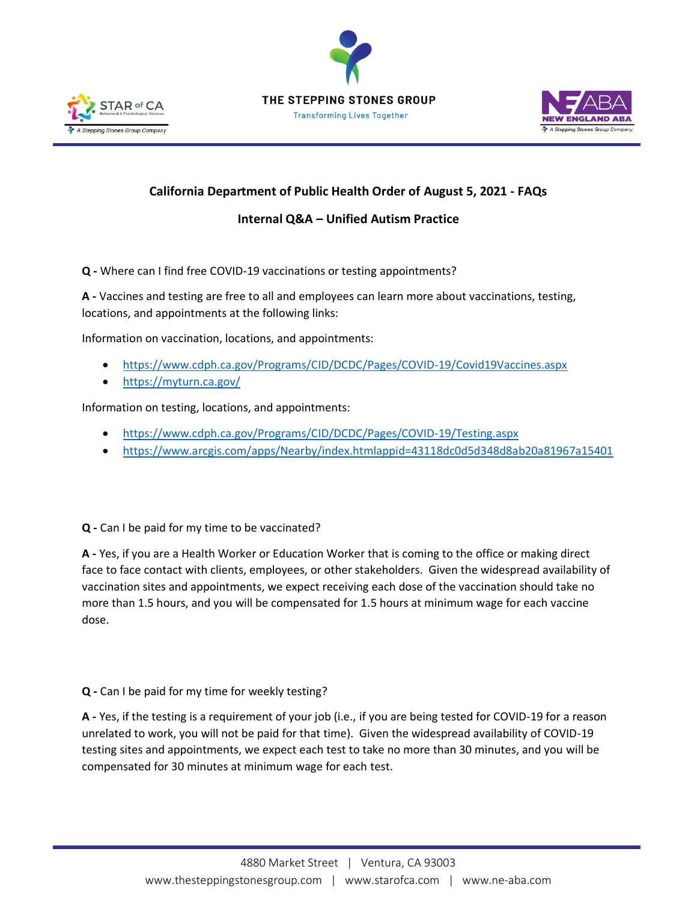





## **California Department of Public Health Order of August 5, 2021 - FAQs**

## **Internal Q&A – Unified Autism Practice**

**Q -** Where can I find free COVID-19 vaccinations or testing appointments?

**A -** Vaccines and testing are free to all and employees can learn more about vaccinations, testing, locations, and appointments at the following links:

Information on vaccination, locations, and appointments:

- <https://www.cdph.ca.gov/Programs/CID/DCDC/Pages/COVID-19/Covid19Vaccines.aspx>
- <https://myturn.ca.gov/>

Information on testing, locations, and appointments:

- <https://www.cdph.ca.gov/Programs/CID/DCDC/Pages/COVID-19/Testing.aspx>
- [https://www.arcgis.com/apps/Nearby/index.htmlappid=43118dc0d5d348d8ab20a81967a15401](https://www.arcgis.com/apps/Nearby/index.html?appid=43118dc0d5d348d8ab20a81967a15401)

**Q -** Can I be paid for my time to be vaccinated?

**A -** Yes, if you are a Health Worker or Education Worker that is coming to the office or making direct face to face contact with clients, employees, or other stakeholders. Given the widespread availability of vaccination sites and appointments, we expect receiving each dose of the vaccination should take no more than 1.5 hours, and you will be compensated for 1.5 hours at minimum wage for each vaccine dose.

## **Q -** Can I be paid for my time for weekly testing?

**A -** Yes, if the testing is a requirement of your job (i.e., if you are being tested for COVID-19 for a reason unrelated to work, you will not be paid for that time). Given the widespread availability of COVID-19 testing sites and appointments, we expect each test to take no more than 30 minutes, and you will be compensated for 30 minutes at minimum wage for each test.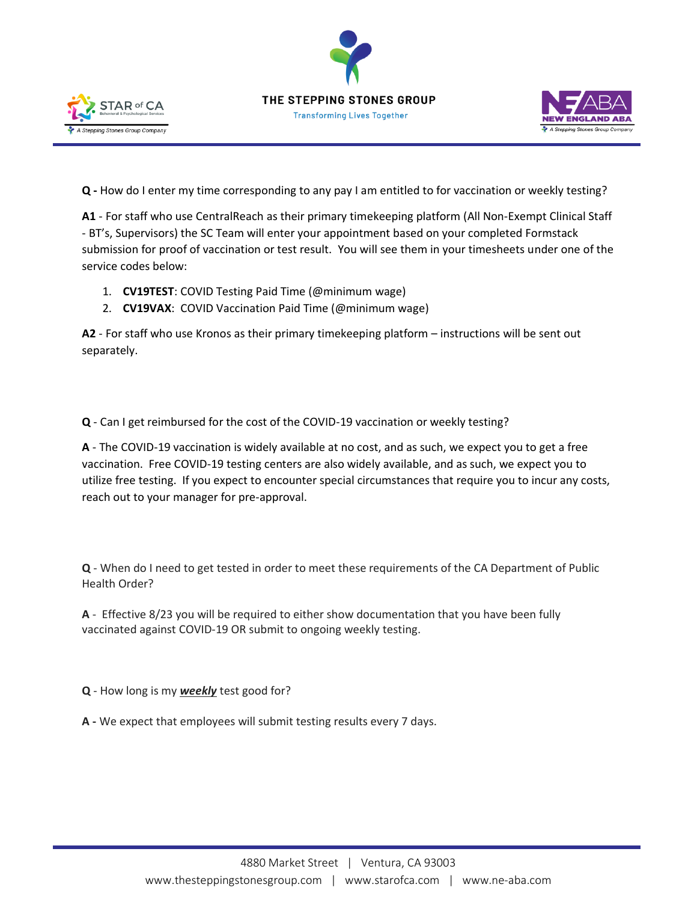





**Q -** How do I enter my time corresponding to any pay I am entitled to for vaccination or weekly testing?

**A1** - For staff who use CentralReach as their primary timekeeping platform (All Non-Exempt Clinical Staff - BT's, Supervisors) the SC Team will enter your appointment based on your completed Formstack submission for proof of vaccination or test result. You will see them in your timesheets under one of the service codes below:

- 1. **CV19TEST**: COVID Testing Paid Time (@minimum wage)
- 2. **CV19VAX**: COVID Vaccination Paid Time (@minimum wage)

**A2** - For staff who use Kronos as their primary timekeeping platform – instructions will be sent out separately.

**Q** - Can I get reimbursed for the cost of the COVID-19 vaccination or weekly testing?

**A** - The COVID-19 vaccination is widely available at no cost, and as such, we expect you to get a free vaccination. Free COVID-19 testing centers are also widely available, and as such, we expect you to utilize free testing. If you expect to encounter special circumstances that require you to incur any costs, reach out to your manager for pre-approval.

**Q** - When do I need to get tested in order to meet these requirements of the CA Department of Public Health Order?

**A** - Effective 8/23 you will be required to either show documentation that you have been fully vaccinated against COVID-19 OR submit to ongoing weekly testing.

**Q** - How long is my *weekly* test good for?

**A -** We expect that employees will submit testing results every 7 days.